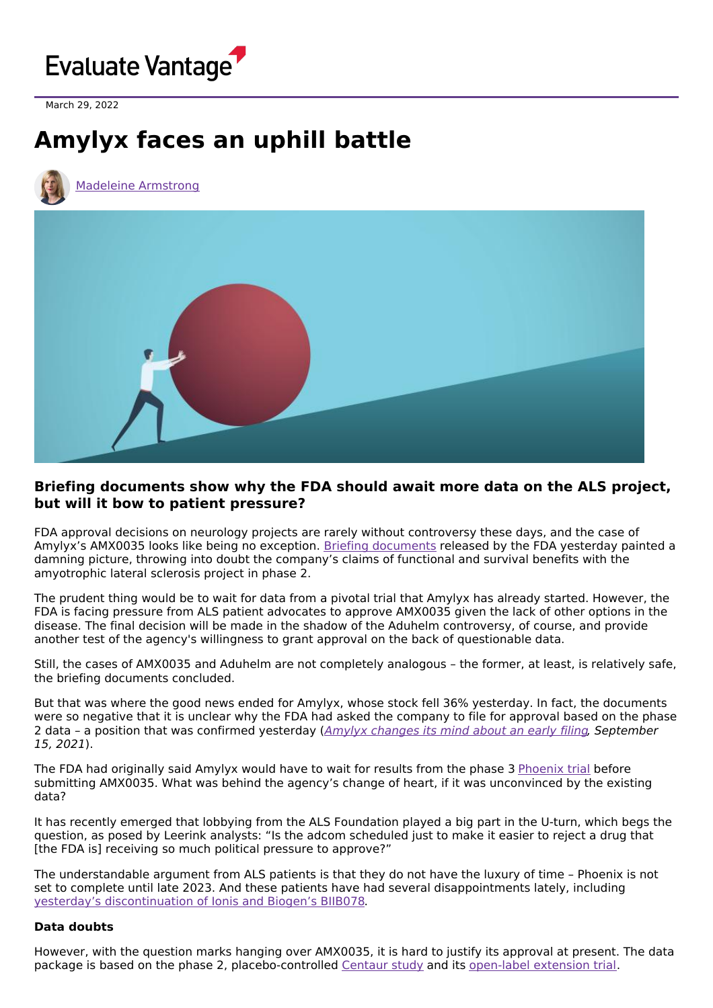

March 29, 2022

## **Amylyx faces an uphill battle**





## **Briefing documents show why the FDA should await more data on the ALS project, but will it bow to patient pressure?**

FDA approval decisions on neurology projects are rarely without controversy these days, and the case of Amylyx's AMX0035 looks like being no exception. Briefing [documents](https://www.fda.gov/media/157186/download) released by the FDA yesterday painted a damning picture, throwing into doubt the company's claims of functional and survival benefits with the amyotrophic lateral sclerosis project in phase 2.

The prudent thing would be to wait for data from a pivotal trial that Amylyx has already started. However, the FDA is facing pressure from ALS patient advocates to approve AMX0035 given the lack of other options in the disease. The final decision will be made in the shadow of the Aduhelm controversy, of course, and provide another test of the agency's willingness to grant approval on the back of questionable data.

Still, the cases of AMX0035 and Aduhelm are not completely analogous – the former, at least, is relatively safe, the briefing documents concluded.

But that was where the good news ended for Amylyx, whose stock fell 36% yesterday. In fact, the documents were so negative that it is unclear why the FDA had asked the company to file for approval based on the phase 2 data - a position that was confirmed yesterday (Amylyx [changes](https://www.evaluate.com/vantage/articles/interviews/amylyx-changes-its-mind-about-early-filing) its mind about an early filing, September 15, 2021).

The FDA had originally said Amylyx would have to wait for results from the phase 3 [Phoenix](https://clinicaltrials.gov/ct2/show/NCT05021536?term=AMX0035&draw=2&rank=5) trial before submitting AMX0035. What was behind the agency's change of heart, if it was unconvinced by the existing data?

It has recently emerged that lobbying from the ALS Foundation played a big part in the U-turn, which begs the question, as posed by Leerink analysts: "Is the adcom scheduled just to make it easier to reject a drug that [the FDA is] receiving so much political pressure to approve?"

The understandable argument from ALS patients is that they do not have the luxury of time – Phoenix is not set to complete until late 2023. And these patients have had several disappointments lately, including yesterday's [discontinuation](https://www.evaluate.com/vantage/articles/news/trial-results-snippets/biogen-and-ionis-stumble-again) of Ionis and Biogen's BIIB078.

## **Data doubts**

However, with the question marks hanging over AMX0035, it is hard to justify its approval at present. The data package is based on the phase 2, placebo-controlled [Centaur](https://www.clinicaltrials.gov/ct2/show/NCT03127514) study and its [open-label](https://clinicaltrials.gov/ct2/show/NCT03488524) extension trial.